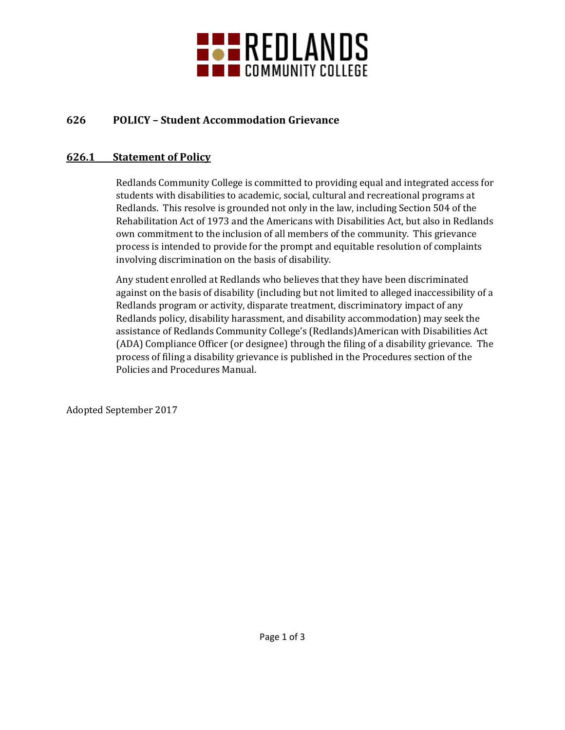

# **626 POLICY – Student Accommodation Grievance**

#### **626.1 Statement of Policy**

Redlands Community College is committed to providing equal and integrated access for students with disabilities to academic, social, cultural and recreational programs at Redlands. This resolve is grounded not only in the law, including Section 504 of the Rehabilitation Act of 1973 and the Americans with Disabilities Act, but also in Redlands own commitment to the inclusion of all members of the community. This grievance process is intended to provide for the prompt and equitable resolution of complaints involving discrimination on the basis of disability.

Any student enrolled at Redlands who believes that they have been discriminated against on the basis of disability (including but not limited to alleged inaccessibility of a Redlands program or activity, disparate treatment, discriminatory impact of any Redlands policy, disability harassment, and disability accommodation) may seek the assistance of Redlands Community College's (Redlands)American with Disabilities Act (ADA) Compliance Officer (or designee) through the filing of a disability grievance. The process of filing a disability grievance is published in the Procedures section of the Policies and Procedures Manual.

Adopted September 2017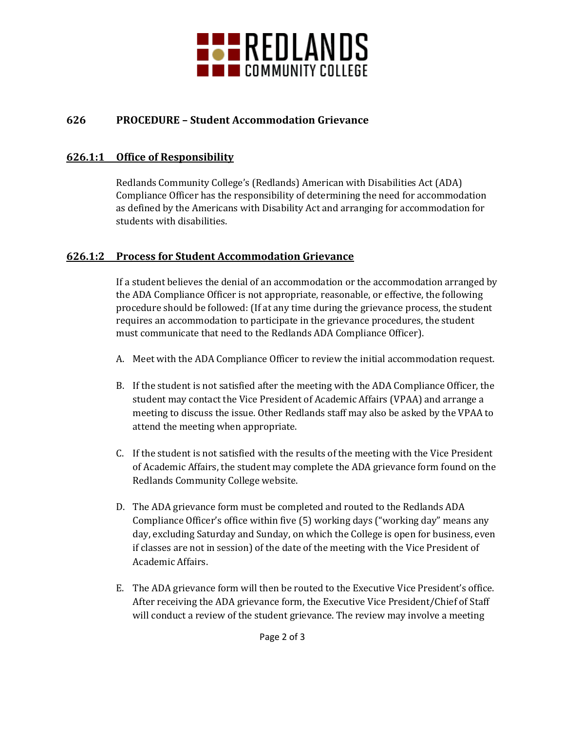

# **626 PROCEDURE – Student Accommodation Grievance**

#### **626.1:1 Office of Responsibility**

Redlands Community College's (Redlands) American with Disabilities Act (ADA) Compliance Officer has the responsibility of determining the need for accommodation as defined by the Americans with Disability Act and arranging for accommodation for students with disabilities.

### **626.1:2 Process for Student Accommodation Grievance**

If a student believes the denial of an accommodation or the accommodation arranged by the ADA Compliance Officer is not appropriate, reasonable, or effective, the following procedure should be followed: (If at any time during the grievance process, the student requires an accommodation to participate in the grievance procedures, the student must communicate that need to the Redlands ADA Compliance Officer).

- A. Meet with the ADA Compliance Officer to review the initial accommodation request.
- B. If the student is not satisfied after the meeting with the ADA Compliance Officer, the student may contact the Vice President of Academic Affairs (VPAA) and arrange a meeting to discuss the issue. Other Redlands staff may also be asked by the VPAA to attend the meeting when appropriate.
- C. If the student is not satisfied with the results of the meeting with the Vice President of Academic Affairs, the student may complete the ADA grievance form found on the Redlands Community College website.
- D. The ADA grievance form must be completed and routed to the Redlands ADA Compliance Officer's office within five (5) working days ("working day" means any day, excluding Saturday and Sunday, on which the College is open for business, even if classes are not in session) of the date of the meeting with the Vice President of Academic Affairs.
- E. The ADA grievance form will then be routed to the Executive Vice President's office. After receiving the ADA grievance form, the Executive Vice President/Chief of Staff will conduct a review of the student grievance. The review may involve a meeting